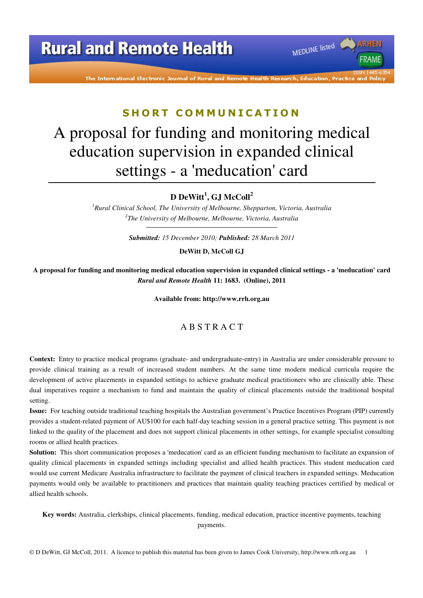# **Rural and Remote Health**

The International Electronic Journal of Rural and Remote Health Research, Education, Practice d Polic

MEDLINE listed

**FRAME** 

#### **S H O R T C O M M U N I C A T I O N**

# A proposal for funding and monitoring medical education supervision in expanded clinical settings - a 'meducation' card

**D DeWitt<sup>1</sup> , GJ McColl<sup>2</sup>**

*<sup>1</sup>Rural Clinical School, The University of Melbourne, Shepparton, Victoria, Australia 2 The University of Melbourne, Melbourne, Victoria, Australia* 

*Submitted: 15 December 2010; Published: 28 March 2011* 

**DeWitt D, McColl GJ** 

**A proposal for funding and monitoring medical education supervision in expanded clinical settings - a 'meducation' card**  *Rural and Remote Health* **11: 1683. (Online), 2011** 

**Available from: http://www.rrh.org.au** 

#### A B S T R A C T

**Context:** Entry to practice medical programs (graduate- and undergraduate-entry) in Australia are under considerable pressure to provide clinical training as a result of increased student numbers. At the same time modern medical curricula require the development of active placements in expanded settings to achieve graduate medical practitioners who are clinically able. These dual imperatives require a mechanism to fund and maintain the quality of clinical placements outside the traditional hospital setting.

**Issue:** For teaching outside traditional teaching hospitals the Australian government's Practice Incentives Program (PIP) currently provides a student-related payment of AU\$100 for each half-day teaching session in a general practice setting. This payment is not linked to the quality of the placement and does not support clinical placements in other settings, for example specialist consulting rooms or allied health practices.

**Solution:** This short communication proposes a 'meducation' card as an efficient funding mechanism to facilitate an expansion of quality clinical placements in expanded settings including specialist and allied health practices. This student meducation card would use current Medicare Australia infrastructure to facilitate the payment of clinical teachers in expanded settings. Meducation payments would only be available to practitioners and practices that maintain quality teaching practices certified by medical or allied health schools.

**Key words:** Australia, clerkships, clinical placements, funding, medical education, practice incentive payments, teaching payments.

© D DeWitt, GJ McColl, 2011. A licence to publish this material has been given to James Cook University, http://www.rrh.org.au 1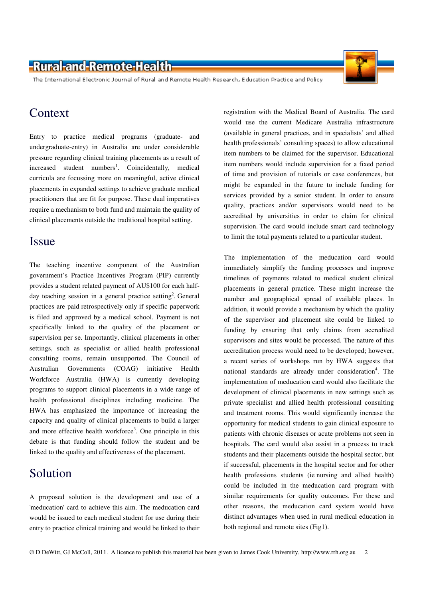### -Rural-and-Remote-Health-

The International Electronic Journal of Rural and Remote Health Research, Education Practice and Policy

## Context

Entry to practice medical programs (graduate- and undergraduate-entry) in Australia are under considerable pressure regarding clinical training placements as a result of increased student numbers<sup>1</sup>. Coincidentally, medical curricula are focussing more on meaningful, active clinical placements in expanded settings to achieve graduate medical practitioners that are fit for purpose. These dual imperatives require a mechanism to both fund and maintain the quality of clinical placements outside the traditional hospital setting.

#### Issue

The teaching incentive component of the Australian government's Practice Incentives Program (PIP) currently provides a student related payment of AU\$100 for each halfday teaching session in a general practice setting<sup>2</sup>. General practices are paid retrospectively only if specific paperwork is filed and approved by a medical school. Payment is not specifically linked to the quality of the placement or supervision per se. Importantly, clinical placements in other settings, such as specialist or allied health professional consulting rooms, remain unsupported. The Council of Australian Governments (COAG) initiative Health Workforce Australia (HWA) is currently developing programs to support clinical placements in a wide range of health professional disciplines including medicine. The HWA has emphasized the importance of increasing the capacity and quality of clinical placements to build a larger and more effective health workforce<sup>3</sup>. One principle in this debate is that funding should follow the student and be linked to the quality and effectiveness of the placement.

# Solution

A proposed solution is the development and use of a 'meducation' card to achieve this aim. The meducation card would be issued to each medical student for use during their entry to practice clinical training and would be linked to their

registration with the Medical Board of Australia. The card would use the current Medicare Australia infrastructure (available in general practices, and in specialists' and allied health professionals' consulting spaces) to allow educational item numbers to be claimed for the supervisor. Educational item numbers would include supervision for a fixed period of time and provision of tutorials or case conferences, but might be expanded in the future to include funding for services provided by a senior student. In order to ensure quality, practices and/or supervisors would need to be accredited by universities in order to claim for clinical supervision. The card would include smart card technology to limit the total payments related to a particular student.

The implementation of the meducation card would immediately simplify the funding processes and improve timelines of payments related to medical student clinical placements in general practice. These might increase the number and geographical spread of available places. In addition, it would provide a mechanism by which the quality of the supervisor and placement site could be linked to funding by ensuring that only claims from accredited supervisors and sites would be processed. The nature of this accreditation process would need to be developed; however, a recent series of workshops run by HWA suggests that national standards are already under consideration<sup>4</sup>. The implementation of meducation card would also facilitate the development of clinical placements in new settings such as private specialist and allied health professional consulting and treatment rooms. This would significantly increase the opportunity for medical students to gain clinical exposure to patients with chronic diseases or acute problems not seen in hospitals. The card would also assist in a process to track students and their placements outside the hospital sector, but if successful, placements in the hospital sector and for other health professions students (ie nursing and allied health) could be included in the meducation card program with similar requirements for quality outcomes. For these and other reasons, the meducation card system would have distinct advantages when used in rural medical education in both regional and remote sites (Fig1).

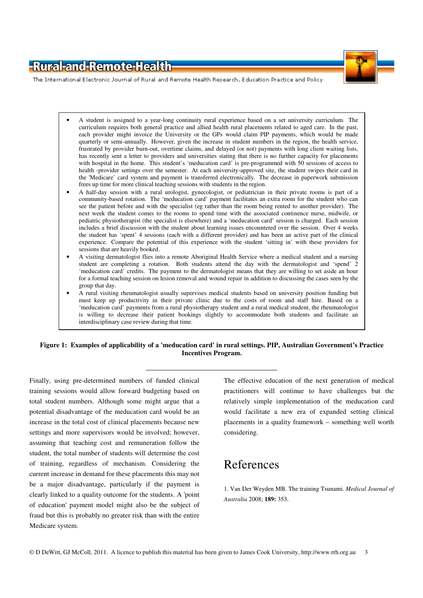### -Rural-and-Remote-Health



The International Electronic Journal of Rural and Remote Health Research, Education Practice and Policy

- A student is assigned to a year-long continuity rural experience based on a set university curriculum. The curriculum requires both general practice and allied health rural placements related to aged care. In the past, each provider might invoice the University or the GPs would claim PIP payments, which would be made quarterly or semi-annually. However, given the increase in student numbers in the region, the health service, frustrated by provider burn-out, overtime claims, and delayed (or not) payments with long client waiting lists, has recently sent a letter to providers and universities stating that there is no further capacity for placements with hospital in the home. This student's 'meducation card' is pre-programmed with 50 sessions of access to health -provider settings over the semester. At each university-approved site, the student swipes their card in the 'Medicare' card system and payment is transferred electronically. The decrease in paperwork submission frees up time for more clinical teaching sessions with students in the region.
- A half-day session with a rural urologist, gynecologist, or pediatrician in their private rooms is part of a community-based rotation. The 'meducation card' payment facilitates an extra room for the student who can see the patient before and with the specialist (eg rather than the room being rented to another provider). The next week the student comes to the rooms to spend time with the associated continence nurse, midwife, or pediatric physiotherapist (the specialist is elsewhere) and a 'meducation card' session is charged. Each session includes a brief discussion with the student about learning issues encountered over the session. Over 4 weeks the student has 'spent' 4 sessions (each with a different provider) and has been an active part of the clinical experience. Compare the potential of this experience with the student 'sitting in' with these providers for sessions that are heavily booked.
- A visiting dermatologist flies into a remote Aboriginal Health Service where a medical student and a nursing student are completing a rotation. Both students attend the day with the dermatologist and 'spend' 2 'meducation card' credits. The payment to the dermatologist means that they are willing to set aside an hour for a formal teaching session on lesion removal and wound repair in addition to discussing the cases seen by the group that day.
- A rural visiting rheumatologist usually supervises medical students based on university position funding but must keep up productivity in their private clinic due to the costs of room and staff hire. Based on a 'meducation card' payments from a rural physiotherapy student and a rural medical student, the rheumatologist is willing to decrease their patient bookings slightly to accommodate both students and facilitate an interdisciplinary case review during that time.

#### **Figure 1: Examples of applicability of a 'meducation card' in rural settings. PIP, Australian Government's Practice Incentives Program.**

Finally, using pre-determined numbers of funded clinical training sessions would allow forward budgeting based on total student numbers. Although some might argue that a potential disadvantage of the meducation card would be an increase in the total cost of clinical placements because new settings and more supervisors would be involved; however, assuming that teaching cost and remuneration follow the student, the total number of students will determine the cost of training, regardless of mechanism. Considering the current increase in demand for these placements this may not be a major disadvantage, particularly if the payment is clearly linked to a quality outcome for the students. A 'point of education' payment model might also be the subject of fraud but this is probably no greater risk than with the entire Medicare system.

The effective education of the next generation of medical practitioners will continue to have challenges but the relatively simple implementation of the meducation card would facilitate a new era of expanded setting clinical placements in a quality framework – something well worth considering.

# References

1. Van Der Weyden MB. The training Tsunami. *Medical Journal of Australia* 2008; **189:** 353.